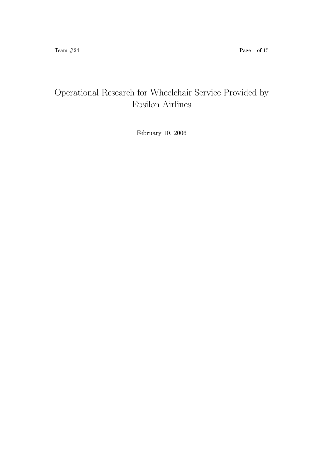# Operational Research for Wheelchair Service Provided by Epsilon Airlines

February 10, 2006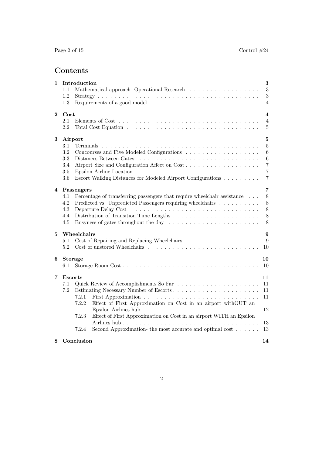# Contents

| 1        |                                                                                               | Introduction   |                                                                                           | $\bf{3}$                  |  |  |  |  |  |
|----------|-----------------------------------------------------------------------------------------------|----------------|-------------------------------------------------------------------------------------------|---------------------------|--|--|--|--|--|
|          | 1.1                                                                                           |                | Mathematical approach- Operational Research                                               | 3                         |  |  |  |  |  |
|          | 1.2                                                                                           |                |                                                                                           | $\sqrt{3}$                |  |  |  |  |  |
|          | $1.3\,$                                                                                       |                | Requirements of a good model $\dots \dots \dots \dots \dots \dots \dots \dots \dots$      | 4                         |  |  |  |  |  |
| $\bf{2}$ | Cost                                                                                          |                |                                                                                           | $\overline{\mathbf{4}}$   |  |  |  |  |  |
|          | 2.1                                                                                           |                |                                                                                           | $\overline{4}$            |  |  |  |  |  |
|          | 2.2                                                                                           |                |                                                                                           | $\overline{5}$            |  |  |  |  |  |
| $\bf{3}$ |                                                                                               | Airport        |                                                                                           | $\bf 5$                   |  |  |  |  |  |
|          | 3.1                                                                                           |                |                                                                                           | $\bf 5$                   |  |  |  |  |  |
|          | 3.2                                                                                           |                |                                                                                           | $\boldsymbol{6}$          |  |  |  |  |  |
|          | 3.3                                                                                           |                |                                                                                           | $\,6\,$<br>$\overline{7}$ |  |  |  |  |  |
|          | Airport Size and Configuration Affect on Cost<br>3.4                                          |                |                                                                                           |                           |  |  |  |  |  |
|          | $3.5\,$                                                                                       |                |                                                                                           | $\,7$                     |  |  |  |  |  |
|          | 3.6                                                                                           |                | Escort Walking Distances for Modeled Airport Configurations                               | 7                         |  |  |  |  |  |
| 4        |                                                                                               | Passengers     |                                                                                           | 7                         |  |  |  |  |  |
|          | 4.1                                                                                           |                | Percentage of transferring passengers that require wheelchair assistance                  | $8\,$                     |  |  |  |  |  |
|          | 4.2                                                                                           |                | Predicted vs. Unpredicted Passengers requiring wheelchairs                                | $8\,$                     |  |  |  |  |  |
|          | 4.3                                                                                           |                |                                                                                           | $8\,$                     |  |  |  |  |  |
|          | 4.4                                                                                           |                | Distribution of Transition Time Lengths $\dots \dots \dots \dots \dots \dots \dots \dots$ | $8\,$<br>8                |  |  |  |  |  |
|          | 4.5<br>Busyness of gates throughout the day $\dots \dots \dots \dots \dots \dots \dots \dots$ |                |                                                                                           |                           |  |  |  |  |  |
| 5        |                                                                                               | Wheelchairs    |                                                                                           | 9                         |  |  |  |  |  |
|          | 5.1                                                                                           |                |                                                                                           | 9                         |  |  |  |  |  |
|          | 5.2                                                                                           |                |                                                                                           | 10                        |  |  |  |  |  |
| 6        |                                                                                               | <b>Storage</b> |                                                                                           | 10                        |  |  |  |  |  |
|          | 6.1                                                                                           |                |                                                                                           | 10                        |  |  |  |  |  |
| 7        | <b>Escorts</b>                                                                                |                |                                                                                           | 11                        |  |  |  |  |  |
|          | 7.1                                                                                           |                |                                                                                           | 11                        |  |  |  |  |  |
|          | 7.2                                                                                           |                |                                                                                           | 11                        |  |  |  |  |  |
|          |                                                                                               | 7.2.1          |                                                                                           | 11                        |  |  |  |  |  |
|          |                                                                                               | 7.2.2          | Effect of First Approximation on Cost in an airport withOUT an                            |                           |  |  |  |  |  |
|          |                                                                                               | 7.2.3          | Effect of First Approximation on Cost in an airport WITH an Epsilon                       | 12                        |  |  |  |  |  |
|          |                                                                                               |                |                                                                                           | 13                        |  |  |  |  |  |
|          |                                                                                               | 7.2.4          | Second Approximation- the most accurate and optimal cost $\dots$ .                        | 13                        |  |  |  |  |  |
| 8        |                                                                                               | Conclusion     |                                                                                           | 14                        |  |  |  |  |  |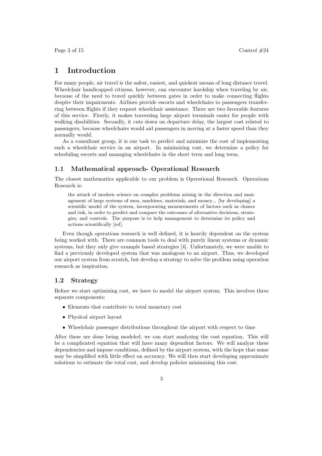## 1 Introduction

For many people, air travel is the safest, easiest, and quickest means of long distance travel. Wheelchair handicapped citizens, however, can encounter hardship when traveling by air, because of the need to travel quickly between gates in order to make connecting flights despite their impairments. Airlines provide escorts and wheelchairs to passengers transferring between flights if they request wheelchair assistance. There are two favorable features of this service. Firstly, it makes traversing large airport terminals easier for people with walking disabilities. Secondly, it cuts down on departure delay, the largest cost related to passengers, because wheelchairs would aid passengers in moving at a faster speed than they normally would.

As a consultant group, it is our task to predict and minimize the cost of implementing such a wheelchair service in an airport. In minimizing cost, we determine a policy for scheduling escorts and managing wheelchairs in the short term and long term.

#### 1.1 Mathematical approach- Operational Research

The closest mathematics applicable to our problem is Operational Research. Operations Research is:

the attack of modern science on complex problems arising in the direction and management of large systems of men, machines, materials, and money... [by developing] a scientific model of the system, incorporating measurements of factors such as chance and risk, in order to predict and compare the outcomes of alternative decisions, strategies, and controls. The purpose is to help management to determine its policy and actions scientifically [ref].

Even though operations research is well defined, it is heavily dependent on the system being worked with. There are common tools to deal with purely linear systems or dynamic systems, but they only give example based strategies [4]. Unfortunately, we were unable to find a previously developed system that was analogous to an airport. Thus, we developed our airport system from scratch, but develop a strategy to solve the problem using operation research as inspiration.

#### 1.2 Strategy

Before we start optimizing cost, we have to model the airport system. This involves three separate components:

- Elements that contribute to total monetary cost
- Physical airport layout
- Wheelchair passenger distributions throughout the airport with respect to time

After these are done being modeled, we can start analyzing the cost equation. This will be a complicated equation that will have many dependent factors. We will analyze these dependencies and impose conditions, defined by the airport system, with the hope that some may be simplified with little effect on accuracy. We will then start developing approximate solutions to estimate the total cost, and develop policies minimizing this cost.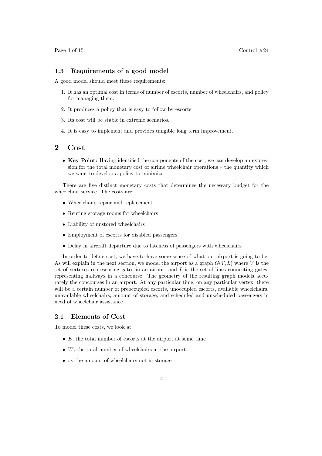#### 1.3 Requirements of a good model

A good model should meet these requirements:

- 1. It has an optimal cost in terms of number of escorts, number of wheelchairs, and policy for managing them.
- 2. It produces a policy that is easy to follow by escorts.
- 3. Its cost will be stable in extreme scenarios.
- 4. It is easy to implement and provides tangible long term improvement.

## 2 Cost

• Key Point: Having identified the components of the cost, we can develop an expression for the total monetary cost of airline wheelchair operations – the quantity which we want to develop a policy to minimize.

There are five distinct monetary costs that determines the necessary budget for the wheelchair service. The costs are:

- Wheelchairs repair and replacement
- Renting storage rooms for wheelchairs
- Liability of unstored wheelchairs
- Employment of escorts for disabled passengers
- Delay in aircraft departure due to lateness of passengers with wheelchairs

In order to define cost, we have to have some sense of what our airport is going to be. As will explain in the next section, we model the airport as a graph  $G(V, L)$  where V is the set of vertexes representing gates in an airport and  $L$  is the set of lines connecting gates, representing hallways in a concourse. The geometry of the resulting graph models accurately the concourses in an airport. At any particular time, on any particular vertex, there will be a certain number of preoccupied escorts, unoccupied escorts, available wheelchairs, unavailable wheelchairs, amount of storage, and scheduled and unscheduled passengers in need of wheelchair assistance.

#### 2.1 Elements of Cost

To model these costs, we look at:

- $E$ , the total number of escorts at the airport at some time
- $\bullet$  W, the total number of wheelchairs at the airport
- $\bullet$  w, the amount of wheelchairs not in storage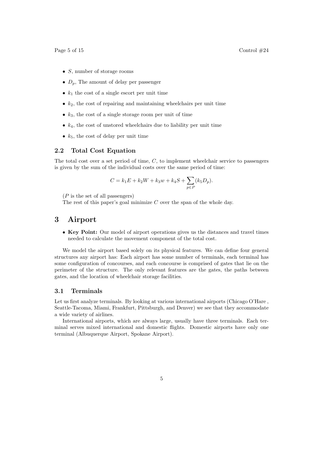- *S*, number of storage rooms
- $D_n$ , The amount of delay per passenger
- $k_1$  the cost of a single escort per unit time
- $k_2$ , the cost of repairing and maintaining wheelchairs per unit time
- $k_3$ , the cost of a single storage room per unit of time
- $k_4$ , the cost of unstored wheelchairs due to liability per unit time
- $k_5$ , the cost of delay per unit time

#### 2.2 Total Cost Equation

The total cost over a set period of time, C, to implement wheelchair service to passengers is given by the sum of the individual costs over the same period of time:

$$
C = k_1 E + k_2 W + k_3 w + k_4 S + \sum_{p \in P} (k_5 D_p).
$$

 $(P$  is the set of all passengers)

The rest of this paper's goal minimize  $C$  over the span of the whole day.

## 3 Airport

• Key Point: Our model of airport operations gives us the distances and travel times needed to calculate the movement component of the total cost.

We model the airport based solely on its physical features. We can define four general structures any airport has: Each airport has some number of terminals, each terminal has some configuration of concourses, and each concourse is comprised of gates that lie on the perimeter of the structure. The only relevant features are the gates, the paths between gates, and the location of wheelchair storage facilities.

#### 3.1 Terminals

Let us first analyze terminals. By looking at various international airports (Chicago O'Hare , Seattle-Tacoma, Miami, Frankfurt, Pittsburgh, and Denver) we see that they accommodate a wide variety of airlines.

International airports, which are always large, usually have three terminals. Each terminal serves mixed international and domestic flights. Domestic airports have only one terminal (Albuquerque Airport, Spokane Airport).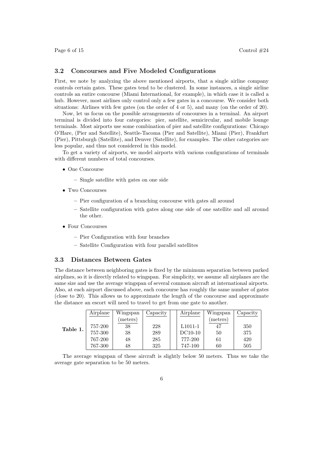#### 3.2 Concourses and Five Modeled Configurations

First, we note by analyzing the above mentioned airports, that a single airline company controls certain gates. These gates tend to be clustered. In some instances, a single airline controls an entire concourse (Miami International, for example), in which case it is called a hub. However, most airlines only control only a few gates in a concourse. We consider both situations: Airlines with few gates (on the order of 4 or 5), and many (on the order of 20).

Now, let us focus on the possible arrangements of concourses in a terminal. An airport terminal is divided into four categories: pier, satellite, semicircular, and mobile lounge terminals. Most airports use some combination of pier and satellite configurations: Chicago O'Hare, (Pier and Satellite), Seattle-Tacoma (Pier and Satellite), Miami (Pier), Frankfurt (Pier), Pittsburgh (Satellite), and Denver (Satellite), for examples. The other categories are less popular, and thus not considered in this model.

To get a variety of airports, we model airports with various configurations of terminals with different numbers of total concourses.

- One Concourse
	- Single satellite with gates on one side
- Two Concourses
	- Pier configuration of a branching concourse with gates all around
	- Satellite configuration with gates along one side of one satellite and all around the other.
- Four Concourses
	- Pier Configuration with four branches
	- Satellite Configuration with four parallel satellites

#### 3.3 Distances Between Gates

The distance between neighboring gates is fixed by the minimum separation between parked airplines, so it is directly related to wingspan. For simplicity, we assume all airplanes are the same size and use the average wingspan of several common aircraft at international airports. Also, at each airport discussed above, each concourse has roughly the same number of gates (close to 20). This allows us to approximate the length of the concourse and approximate the distance an escort will need to travel to get from one gate to another.

|          | Airplane | Wingspan | Capacity | Airplane             | Wingspan | Capacity |
|----------|----------|----------|----------|----------------------|----------|----------|
|          |          | meters)  |          |                      | (meters) |          |
| Table 1. | 757-200  | 38       | 228      | L <sub>1011</sub> -1 |          | 350      |
|          | 757-300  | 38       | 289      | DC10-10              | 50       | 375      |
|          | 767-200  | 48       | 285      | 777-200              | 61       | 420      |
|          | 767-300  | 48       | 325      | 747-100              | 60       | 505      |

The average wingspan of these aircraft is slightly below 50 meters. Thus we take the average gate separation to be 50 meters.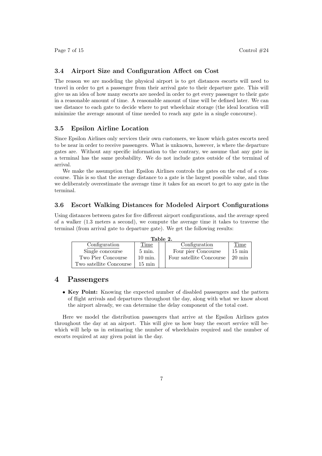#### 3.4 Airport Size and Configuration Affect on Cost

The reason we are modeling the physical airport is to get distances escorts will need to travel in order to get a passenger from their arrival gate to their departure gate. This will give us an idea of how many escorts are needed in order to get every passenger to their gate in a reasonable amount of time. A reasonable amount of time will be defined later. We can use distance to each gate to decide where to put wheelchair storage (the ideal location will minimize the average amount of time needed to reach any gate in a single concourse).

#### 3.5 Epsilon Airline Location

Since Epsilon Airlines only services their own customers, we know which gates escorts need to be near in order to receive passengers. What is unknown, however, is where the departure gates are. Without any specific information to the contrary, we assume that any gate in a terminal has the same probability. We do not include gates outside of the terminal of arrival.

We make the assumption that Epsilon Airlines controls the gates on the end of a concourse. This is so that the average distance to a gate is the largest possible value, and thus we deliberately overestimate the average time it takes for an escort to get to any gate in the terminal.

#### 3.6 Escort Walking Distances for Modeled Airport Configurations

Using distances between gates for five different airport configurations, and the average speed of a walker (1.3 meters a second), we compute the average time it takes to traverse the terminal (from arrival gate to departure gate). We get the following results:

| Table 2.                |                   |  |                          |                  |  |  |  |  |
|-------------------------|-------------------|--|--------------------------|------------------|--|--|--|--|
| Configuration           | Time              |  | Configuration            | Time             |  |  |  |  |
| Single concourse        | $5 \text{ min.}$  |  | Four pier Concourse      | $15 \text{ min}$ |  |  |  |  |
| Two Pier Concourse      | $10 \text{ min.}$ |  | Four satellite Concourse | $20 \text{ min}$ |  |  |  |  |
| Two satellite Concourse | $15 \text{ min}$  |  |                          |                  |  |  |  |  |

## 4 Passengers

• Key Point: Knowing the expected number of disabled passengers and the pattern of flight arrivals and departures throughout the day, along with what we know about the airport already, we can determine the delay component of the total cost.

Here we model the distribution passengers that arrive at the Epsilon Airlines gates throughout the day at an airport. This will give us how busy the escort service will bewhich will help us in estimating the number of wheelchairs required and the number of escorts required at any given point in the day.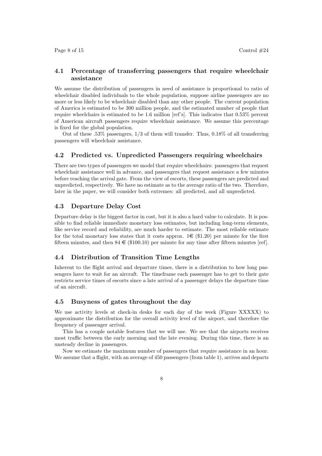#### 4.1 Percentage of transferring passengers that require wheelchair assistance

We assume the distribution of passengers in need of assistance is proportional to ratio of wheelchair disabled individuals to the whole population, suppose airline passengers are no more or less likely to be wheelchair disabled than any other people. The current population of America is estimated to be 300 million people, and the estimated number of people that require wheelchairs is estimated to be 1.6 million [ref's]. This indicates that 0.53% percent of American aircraft passengers require wheelchair assistance. We assume this percentage is fixed for the global population.

Out of these .53% passengers, 1/3 of them will transfer. Thus, 0.18% of all transferring passengers will wheelchair assistance.

#### 4.2 Predicted vs. Unpredicted Passengers requiring wheelchairs

There are two types of passengers we model that require wheelchairs: passengers that request wheelchair assistance well in advance, and passengers that request assistance a few minutes before reaching the arrival gate. From the view of escorts, these passengers are predicted and unpredicted, respectively. We have no estimate as to the average ratio of the two. Therefore, later in the paper, we will consider both extremes: all predicted, and all unpredicted.

#### 4.3 Departure Delay Cost

Departure delay is the biggest factor in cost, but it is also a hard value to calculate. It is possible to find reliable immediate monetary loss estimates, but including long-term elements, like service record and reliability, are much harder to estimate. The most reliable estimate for the total monetary loss states that it costs approx.  $1 \in (\$1.20)$  per minute for the first fifteen minutes, and then  $84 \in (\$100.10)$  per minute for any time after fifteen minutes [ref].

#### 4.4 Distribution of Transition Time Lengths

Inherent to the flight arrival and departure times, there is a distribution to how long passengers have to wait for an aircraft. The timeframe each passenger has to get to their gate restricts service times of escorts since a late arrival of a passenger delays the departure time of an aircraft.

#### 4.5 Busyness of gates throughout the day

We use activity levels at check-in desks for each day of the week (Figure XXXXX) to approximate the distribution for the overall activity level of the airport, and therefore the frequency of passenger arrival.

This has a couple notable features that we will use. We see that the airports receives most traffic between the early morning and the late evening. During this time, there is an unsteady decline in passengers.

Now we estimate the maximum number of passengers that require assistance in an hour. We assume that a flight, with an average of 450 passengers (from table 1), arrives and departs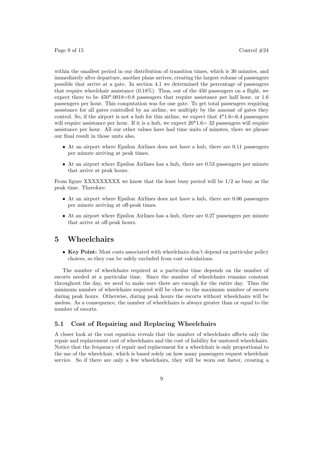within the smallest period in our distribution of transition times, which is 30 minutes, and immediately after departure, another plane arrives, creating the largest volume of passengers possible that arrive at a gate. In section 4.1 we determined the percentage of passengers that require wheelchair assistance (0.18%). Thus, out of the 450 passengers on a flight, we expect there to be 450\*.0018=0.8 passengers that require assistance per half hour, or 1.6 passengers per hour. This computation was for one gate. To get total passengers requiring assistance for all gates controlled by an airline, we multiply by the amount of gates they control. So, if the airport is not a hub for this airline, we expect that  $4*1.6=6.4$  passengers will require assistance per hour. If it is a hub, we expect  $20*1.6=32$  passengers will require assistance per hour. All our other values have had time units of minutes, there we phrase our final result in those units also.

- At an airport where Epsilon Airlines does not have a hub, there are 0.11 passengers per minute arriving at peak times.
- At an airport where Epsilon Airlines has a hub, there are 0.53 passengers per minute that arrive at peak hours.

From figure XXXXXXXXX we know that the least busy period will be 1/2 as busy as the peak time. Therefore:

- At an airport where Epsilon Airlines does not have a hub, there are 0.06 passengers per minute arriving at off-peak times.
- At an airport where Epsilon Airlines has a hub, there are 0.27 passengers per minute that arrive at off-peak hours.

## 5 Wheelchairs

• Key Point: Most costs associated with wheelchairs don't depend on particular policy choices, so they can be safely excluded from cost calculations.

The number of wheelchairs required at a particular time depends on the number of escorts needed at a particular time. Since the number of wheelchairs remains constant throughout the day, we need to make sure there are enough for the entire day. Thus the minimum number of wheelchairs required will be close to the maximum number of escorts during peak hours. Otherwise, during peak hours the escorts without wheelchairs will be useless. As a consequence, the number of wheelchairs is always greater than or equal to the number of escorts.

#### 5.1 Cost of Repairing and Replacing Wheelchairs

A closer look at the cost equation reveals that the number of wheelchairs affects only the repair and replacement cost of wheelchairs and the cost of liability for unstored wheelchairs. Notice that the frequency of repair and replacement for a wheelchair is only proportional to the use of the wheelchair, which is based solely on how many passengers request wheelchair service. So if there are only a few wheelchairs, they will be worn out faster, creating a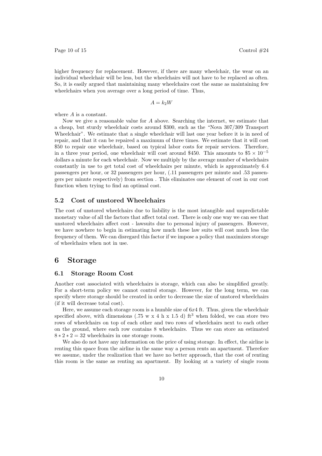higher frequency for replacement. However, if there are many wheelchair, the wear on an individual wheelchair will be less, but the wheelchairs will not have to be replaced as often. So, it is easily argued that maintaining many wheelchairs cost the same as maintaining few wheelchairs when you average over a long period of time. Thus,

$$
A = k_2 W
$$

where A is a constant.

Now we give a reasonable value for  $A$  above. Searching the internet, we estimate that a cheap, but sturdy wheelchair costs around \$300, such as the "Nova 307/309 Transport Wheelchair". We estimate that a single wheelchair will last one year before it is in need of repair, and that it can be repaired a maximum of three times. We estimate that it will cost \$50 to repair one wheelchair, based on typical labor costs for repair services. Therefore, in a three year period, one wheelchair will cost around \$450. This amounts to  $$5 \times 10^{-5}$ dollars a minute for each wheelchair. Now we multiply by the average number of wheelchairs constantly in use to get total cost of wheelchairs per minute, which is approximately 6.4 passengers per hour, or 32 passengers per hour, (.11 passengers per minute and .53 passengers per minute respectively) from section . This eliminates one element of cost in our cost function when trying to find an optimal cost.

#### 5.2 Cost of unstored Wheelchairs

The cost of unstored wheelchairs due to liability is the most intangible and unpredictable monetary value of all the factors that affect total cost. There is only one way we can see that unstored wheelchairs affect cost - lawsuits due to personal injury of passengers. However, we have nowhere to begin in estimating how much these law suits will cost much less the frequency of them. We can disregard this factor if we impose a policy that maximizes storage of wheelchairs when not in use.

## 6 Storage

#### 6.1 Storage Room Cost

Another cost associated with wheelchairs is storage, which can also be simplified greatly. For a short-term policy we cannot control storage. However, for the long term, we can specify where storage should be created in order to decrease the size of unstored wheelchairs (if it will decrease total cost).

Here, we assume each storage room is a humble size of  $6x4$  ft. Thus, given the wheelchair specified above, with dimensions (.75 w x 4 h x 1.5 d) ft<sup>3</sup> when folded, we can store two rows of wheelchairs on top of each other and two rows of wheelchairs next to each other on the ground, where each row contains 8 wheelchairs. Thus we can store an estimated  $8 * 2 * 2 = 32$  wheelchairs in one storage room.

We also do not have any information on the price of using storage. In effect, the airline is renting this space from the airline in the same way a person rents an apartment. Therefore we assume, under the realization that we have no better approach, that the cost of renting this room is the same as renting an apartment. By looking at a variety of single room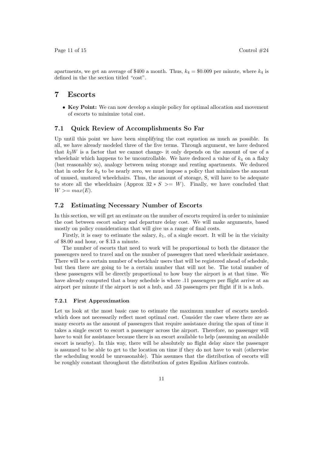apartments, we get an average of \$400 a month. Thus,  $k_4 = $0.009$  per minute, where  $k_4$  is defined in the the section titled "cost".

### 7 Escorts

• Key Point: We can now develop a simple policy for optimal allocation and movement of escorts to minimize total cost.

#### 7.1 Quick Review of Accomplishments So Far

Up until this point we have been simplifying the cost equation as much as possible. In all, we have already modeled three of the five terms. Through argument, we have deduced that  $k_2W$  is a factor that we cannot change- it only depends on the amount of use of a wheelchair which happens to be uncontrollable. We have deduced a value of  $k_4$  on a flaky (but reasonably so), analogy between using storage and renting apartments. We deduced that in order for  $k_4$  to be nearly zero, we must impose a policy that minimizes the amount of unused, unstored wheelchairs. Thus, the amount of storage, S, will have to be adequate to store all the wheelchairs (Approx  $32 * S \geq W$ ). Finally, we have concluded that  $W >= max(E).$ 

#### 7.2 Estimating Necessary Number of Escorts

In this section, we will get an estimate on the number of escorts required in order to minimize the cost between escort salary and departure delay cost. We will make arguments, based mostly on policy considerations that will give us a range of final costs.

Firstly, it is easy to estimate the salary,  $k_1$ , of a single escort. It will be in the vicinity of \$8.00 and hour, or \$.13 a minute.

The number of escorts that need to work will be proportional to both the distance the passengers need to travel and on the number of passengers that need wheelchair assistance. There will be a certain number of wheelchair users that will be registered ahead of schedule, but then there are going to be a certain number that will not be. The total number of these passengers will be directly proportional to how busy the airport is at that time. We have already computed that a busy schedule is where .11 passengers per flight arrive at an airport per minute if the airport is not a hub, and .53 passengers per flight if it is a hub.

#### 7.2.1 First Approximation

Let us look at the most basic case to estimate the maximum number of escorts neededwhich does not necessarily reflect most optimal cost. Consider the case where there are as many escorts as the amount of passengers that require assistance during the span of time it takes a single escort to escort a passenger across the airport. Therefore, no passenger will have to wait for assistance because there is an escort available to help (assuming an available escort is nearby). In this way, there will be absolutely no flight delay since the passenger is assumed to be able to get to the location on time if they do not have to wait (otherwise the scheduling would be unreasonable). This assumes that the distribution of escorts will be roughly constant throughout the distribution of gates Epsilon Airlines controls.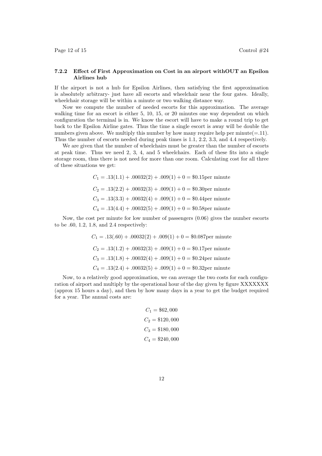Page 12 of 15 Control  $\#24$ 

#### 7.2.2 Effect of First Approximation on Cost in an airport withOUT an Epsilon Airlines hub

If the airport is not a hub for Epsilon Airlines, then satisfying the first approximation is absolutely arbitrary- just have all escorts and wheelchair near the four gates. Ideally, wheelchair storage will be within a minute or two walking distance way.

Now we compute the number of needed escorts for this approximation. The average walking time for an escort is either 5, 10, 15, or 20 minutes one way dependent on which configuration the terminal is in. We know the escort will have to make a round trip to get back to the Epsilon Airline gates. Thus the time a single escort is away will be double the numbers given above. We multiply this number by how many require help per minute $(=11)$ . Thus the number of escorts needed during peak times is 1.1, 2.2, 3.3, and 4.4 respectively.

We are given that the number of wheelchairs must be greater than the number of escorts at peak time. Thus we need 2, 3, 4, and 5 wheelchairs. Each of these fits into a single storage room, thus there is not need for more than one room. Calculating cost for all three of these situations we get:

> $C_1 = .13(1.1) + .00032(2) + .009(1) + 0 = $0.15$ per minute  $C_2 = .13(2.2) + .00032(3) + .009(1) + 0 = $0.30$ per minute  $C_3 = .13(3.3) + .00032(4) + .009(1) + 0 = $0.44$  per minute  $C_4 = .13(4.4) + .00032(5) + .009(1) + 0 = $0.58$ per minute

Now, the cost per minute for low number of passengers (0.06) gives the number escorts to be .60, 1.2, 1.8, and 2.4 respectively:

> $C_1 = .13(.60) + .00032(2) + .009(1) + 0 = $0.087$  per minute  $C_2 = .13(1.2) + .00032(3) + .009(1) + 0 = $0.17$ per minute  $C_3 = .13(1.8) + .00032(4) + .009(1) + 0 = $0.24$  per minute  $C_4 = .13(2.4) + .00032(5) + .009(1) + 0 = $0.32$ per minute

Now, to a relatively good approximation, we can average the two costs for each configuration of airport and multiply by the operational hour of the day given by figure XXXXXXX (approx 15 hours a day), and then by how many days in a year to get the budget required for a year. The annual costs are:

> $C_1 = $62,000$  $C_2 = $120,000$  $C_3 = $180,000$  $C_4 = $240,000$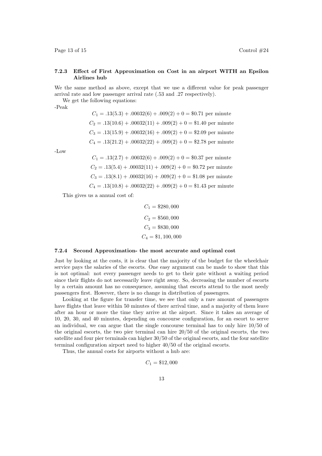Page 13 of 15 Control  $\#24$ 

#### 7.2.3 Effect of First Approximation on Cost in an airport WITH an Epsilon Airlines hub

We the same method as above, except that we use a different value for peak passenger arrival rate and low passenger arrival rate (.53 and .27 respectively).

We get the following equations:

-Peak

$$
C_1 = .13(5.3) + .00032(6) + .009(2) + 0 = $0.71
$$
 per minute  

$$
C_2 = .13(10.6) + .00032(11) + .009(2) + 0 = $1.40
$$
 per minute  

$$
C_3 = .13(15.9) + .00032(16) + .009(2) + 0 = $2.09
$$
 per minute  

$$
C_4 = .13(21.2) + .00032(22) + .009(2) + 0 = $2.78
$$
 per minute

-Low

$$
C_1 = .13(2.7) + .00032(6) + .009(2) + 0 = $0.37
$$
 per minute  

$$
C_2 = .13(5.4) + .00032(11) + .009(2) + 0 = $0.72
$$
 per minute  

$$
C_3 = .13(8.1) + .00032(16) + .009(2) + 0 = $1.08
$$
 per minute  

$$
C_4 = .13(10.8) + .00032(22) + .009(2) + 0 = $1.43
$$
 per minute

This gives us a annual cost of:

$$
C_1 = $280,000
$$
  
\n
$$
C_2 = $560,000
$$
  
\n
$$
C_3 = $830,000
$$
  
\n
$$
C_4 = $1,100,000
$$

#### 7.2.4 Second Approximation- the most accurate and optimal cost

Just by looking at the costs, it is clear that the majority of the budget for the wheelchair service pays the salaries of the escorts. One easy argument can be made to show that this is not optimal: not every passenger needs to get to their gate without a waiting period since their flights do not necessarily leave right away. So, decreasing the number of escorts by a certain amount has no consequence, assuming that escorts attend to the most needy passengers first. However, there is no change in distribution of passengers.

Looking at the figure for transfer time, we see that only a rare amount of passengers have flights that leave within 50 minutes of there arrival time, and a majority of them leave after an hour or more the time they arrive at the airport. Since it takes an average of 10, 20, 30, and 40 minutes, depending on concourse configuration, for an escort to serve an individual, we can argue that the single concourse terminal has to only hire 10/50 of the original escorts, the two pier terminal can hire 20/50 of the original escorts, the two satellite and four pier terminals can higher 30/50 of the original escorts, and the four satellite terminal configuration airport need to higher 40/50 of the original escorts.

Thus, the annual costs for airports without a hub are:

$$
C_1 = \$12,000
$$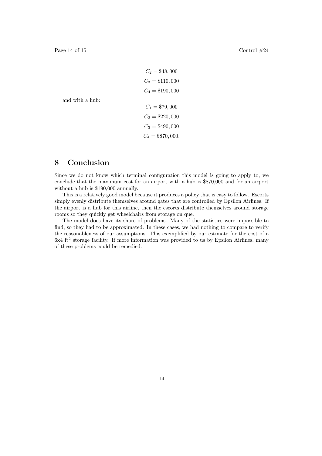```
C_2 = $48,000C_3 = $110,000C_4 = $190,000C_1 = $79,000C_2 = $220,000C_3 = $490,000C_4 = $870,000.
```
and with a hub:

# 8 Conclusion

Since we do not know which terminal configuration this model is going to apply to, we conclude that the maximum cost for an airport with a hub is \$870,000 and for an airport without a hub is \$190,000 annually.

This is a relatively good model because it produces a policy that is easy to follow. Escorts simply evenly distribute themselves around gates that are controlled by Epsilon Airlines. If the airport is a hub for this airline, then the escorts distribute themselves around storage rooms so they quickly get wheelchairs from storage on que.

The model does have its share of problems. Many of the statistics were impossible to find, so they had to be approximated. In these cases, we had nothing to compare to verify the reasonableness of our assumptions. This exemplified by our estimate for the cost of a 6x4 ft<sup>2</sup> storage facility. If more information was provided to us by Epsilon Airlines, many of these problems could be remedied.